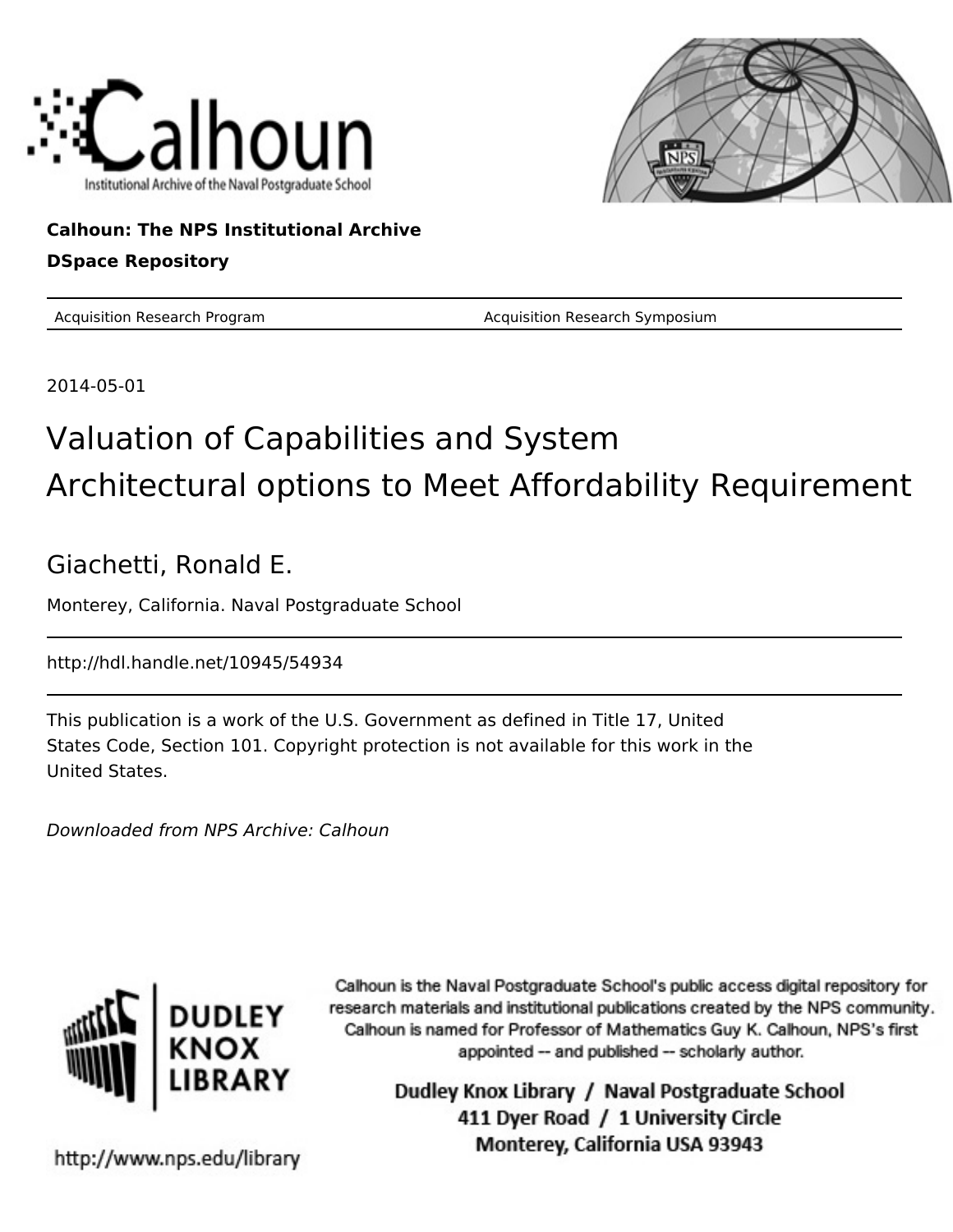



#### **Calhoun: The NPS Institutional Archive DSpace Repository**

Acquisition Research Program **Acquisition Research Symposium** Acquisition Research Symposium

2014-05-01

#### Valuation of Capabilities and System Architectural options to Meet Affordability Requirement

#### Giachetti, Ronald E.

Monterey, California. Naval Postgraduate School

http://hdl.handle.net/10945/54934

This publication is a work of the U.S. Government as defined in Title 17, United States Code, Section 101. Copyright protection is not available for this work in the United States.

Downloaded from NPS Archive: Calhoun



Calhoun is the Naval Postgraduate School's public access digital repository for research materials and institutional publications created by the NPS community. Calhoun is named for Professor of Mathematics Guy K. Calhoun, NPS's first appointed -- and published -- scholarly author.

> Dudley Knox Library / Naval Postgraduate School 411 Dyer Road / 1 University Circle Monterey, California USA 93943

http://www.nps.edu/library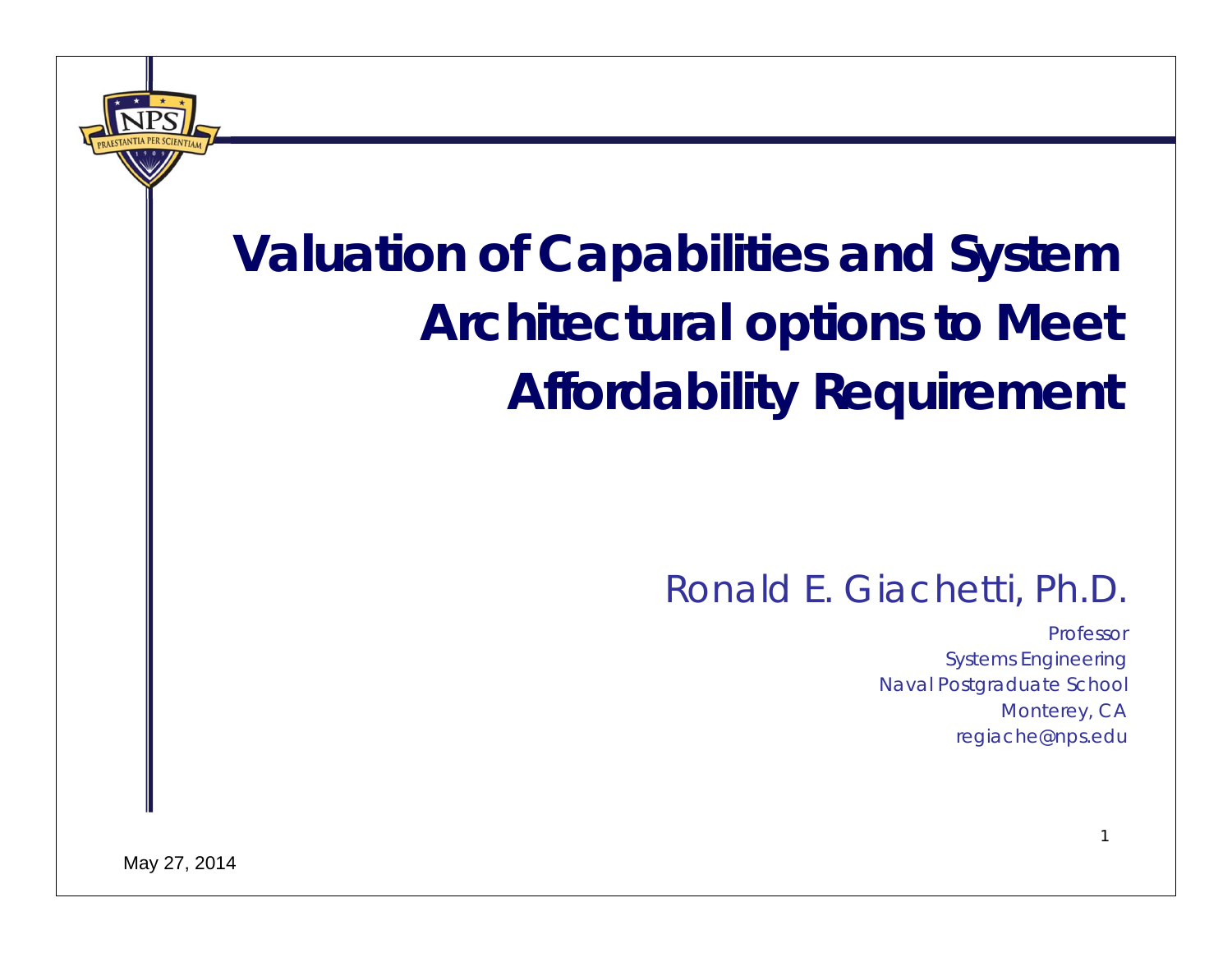#### **Valuation of Capabilities and System Architectural options to Meet Affordability Requirement**

#### Ronald E. Giachetti, Ph.D.

ProfessorSystems Engineering Naval Postgraduate School Monterey, CA regiache@nps.edu

1

May 27, 2014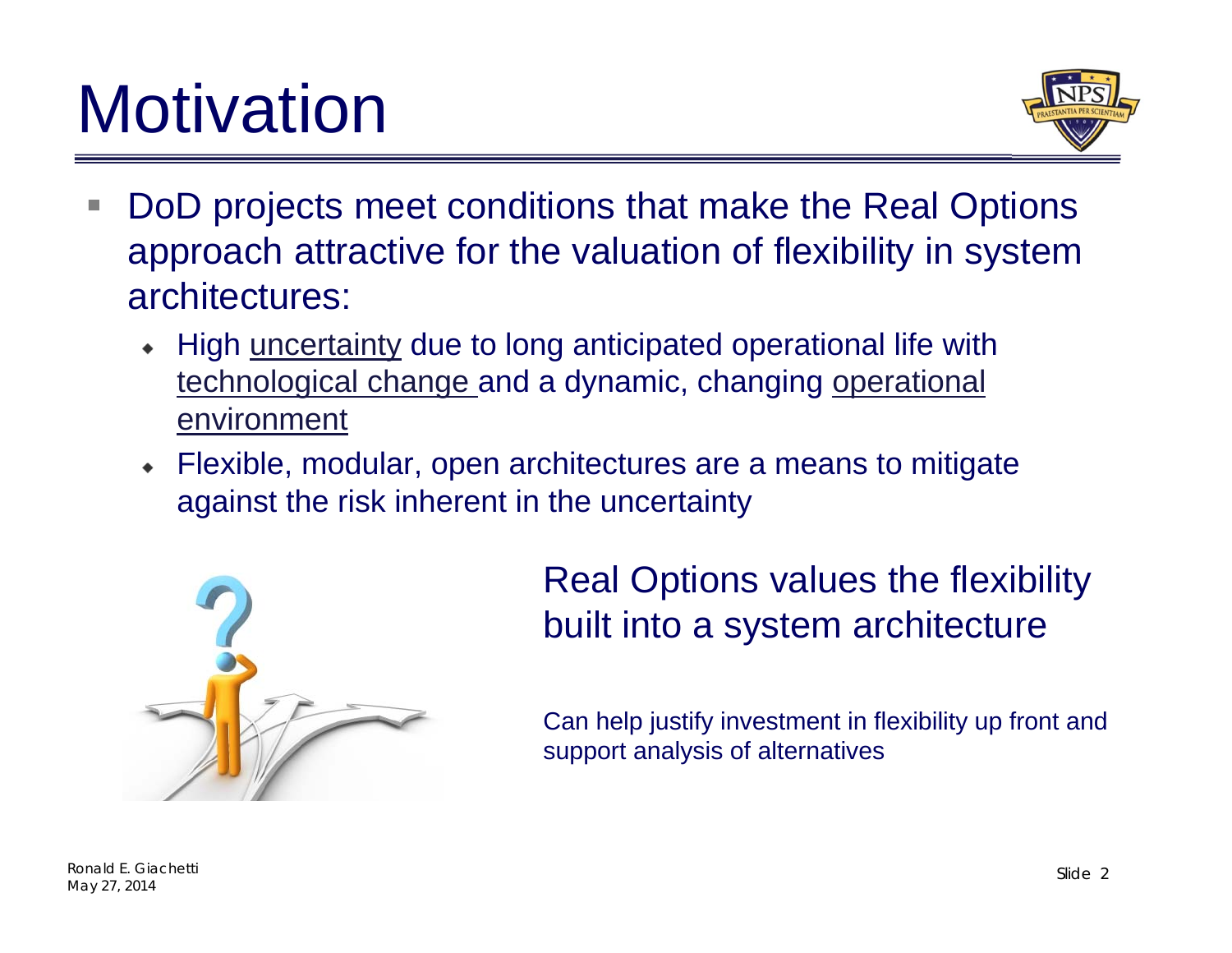## **Motivation**



- $\mathcal{L}$  DoD projects meet conditions that make the Real Options approach attractive for the valuation of flexibility in system architectures:
	- High uncertainty due to long anticipated operational life with technological change and a dynamic, changing operational environment
	- Flexible, modular, open architectures are a means to mitigate against the risk inherent in the uncertainty



Real Options values the flexibility built into a system architecture

Can help justify investment in flexibility up front and support analysis of alternatives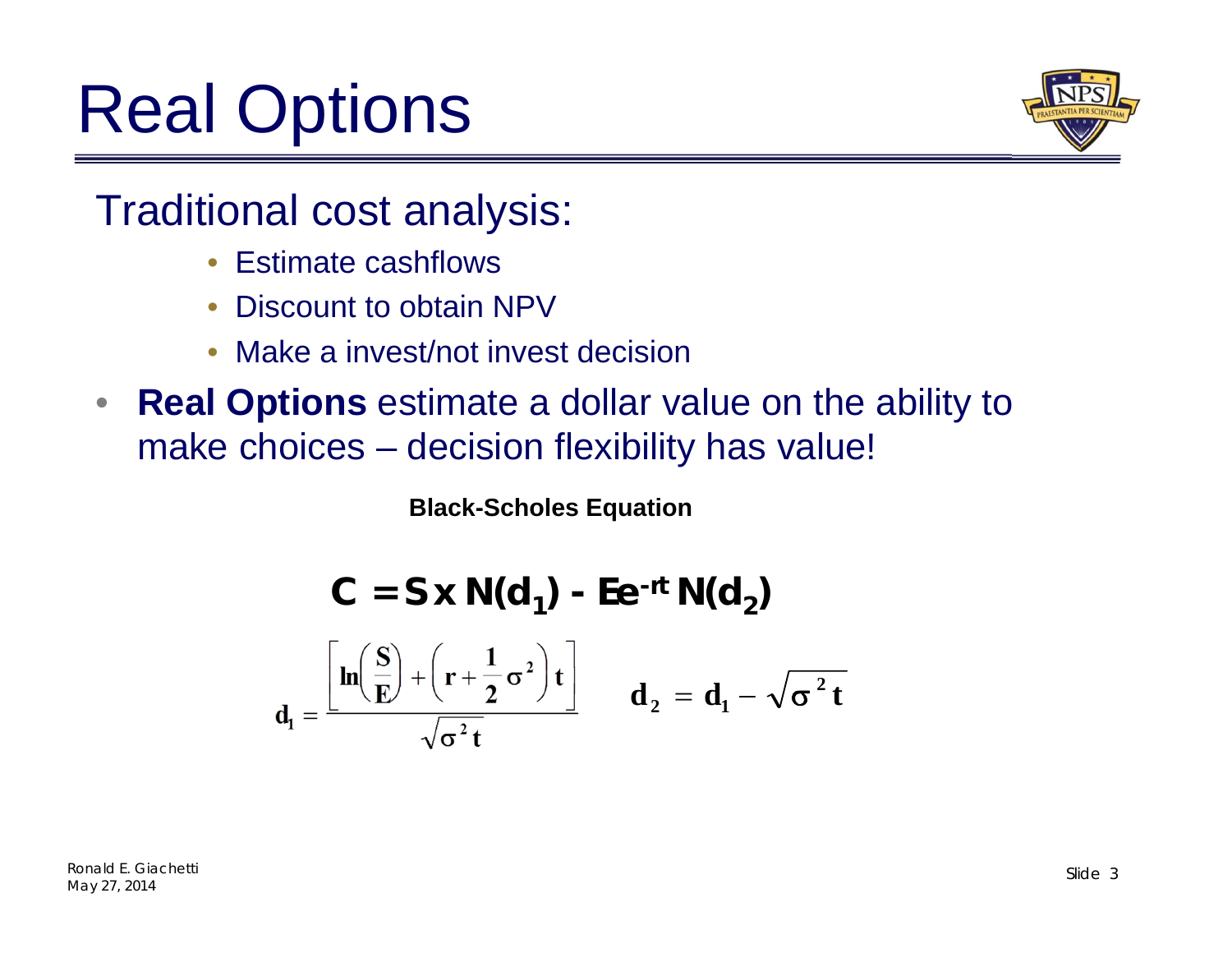## Real Options



Traditional cost analysis:

- Estimate cashflows
- Discount to obtain NPV
- Make a invest/not invest decision
- $\bullet$  **Real Options** estimate a dollar value on the ability to make choices – decision flexibility has value!

**Black-Scholes Equation**

$$
C = S \times N(d_1) - Ee^{-rt} N(d_2)
$$

$$
d_1 = \frac{\left[n\left(\frac{S}{E}\right) + \left(r + \frac{1}{2}\sigma^2\right)t\right]}{\sqrt{\sigma^2 t}} \quad d_2 = d_1 - \sqrt{\sigma^2 t}
$$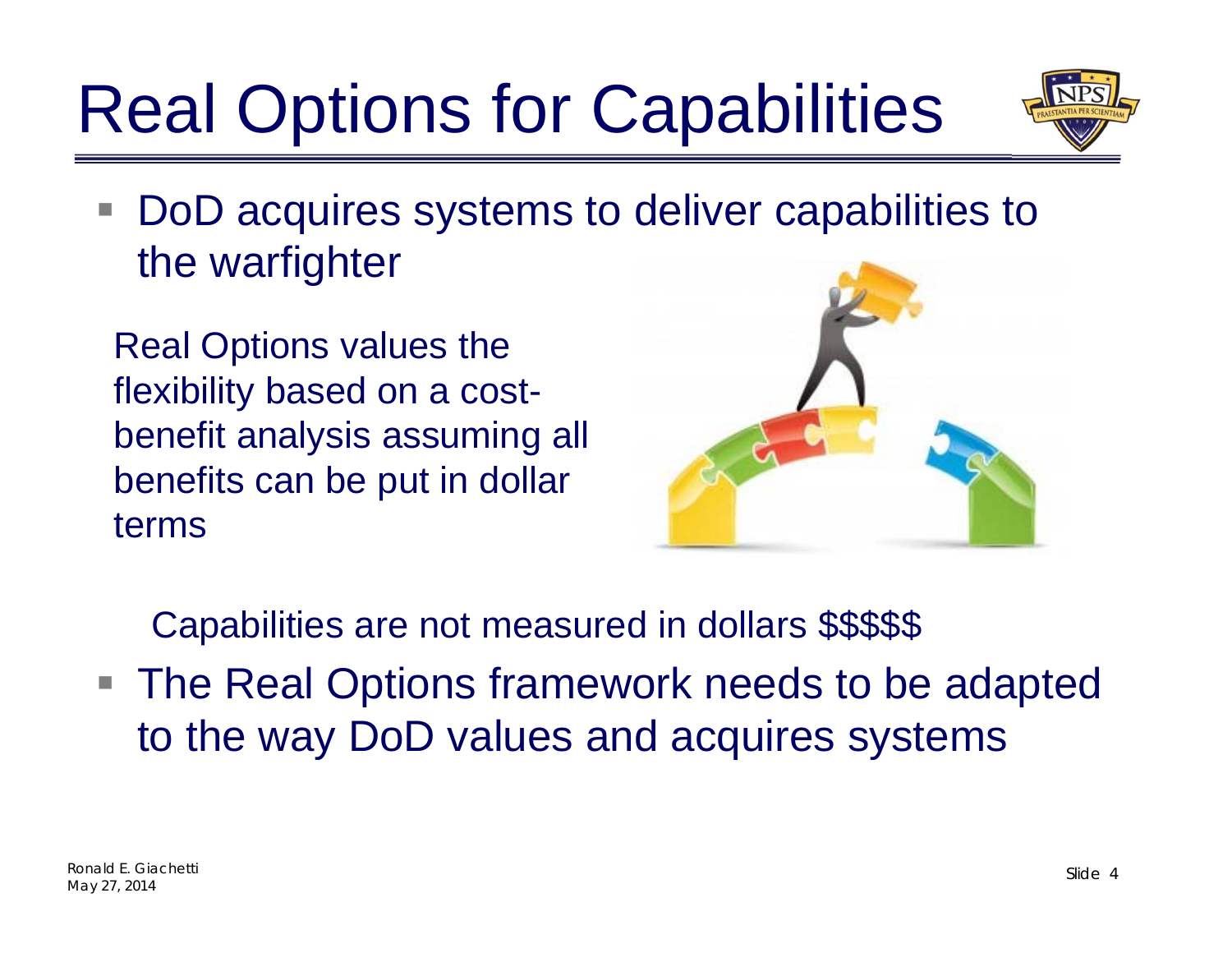# Real Options for Capabilities



DoD acquires systems to deliver capabilities to the warfighter

Real Options values the flexibility based on a costbenefit analysis assuming all benefits can be put in dollar terms



Capabilities are not measured in dollars \$\$\$\$\$

■ The Real Options framework needs to be adapted to the way DoD values and acquires systems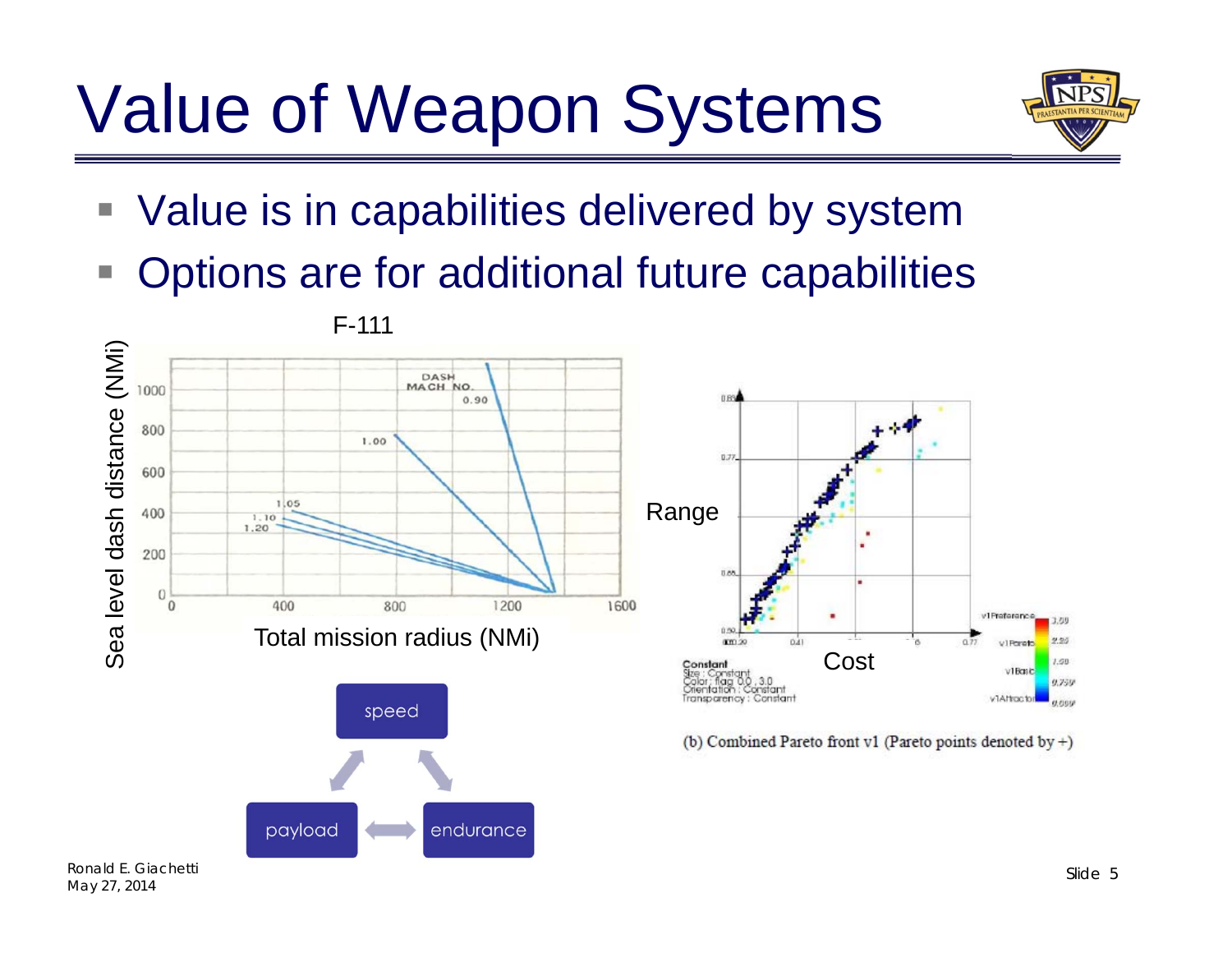#### Value of Weapon Systems



- Value is in capabilities delivered by system
- F. Options are for additional future capabilities





<sup>(</sup>b) Combined Pareto front v1 (Pareto points denoted by  $+)$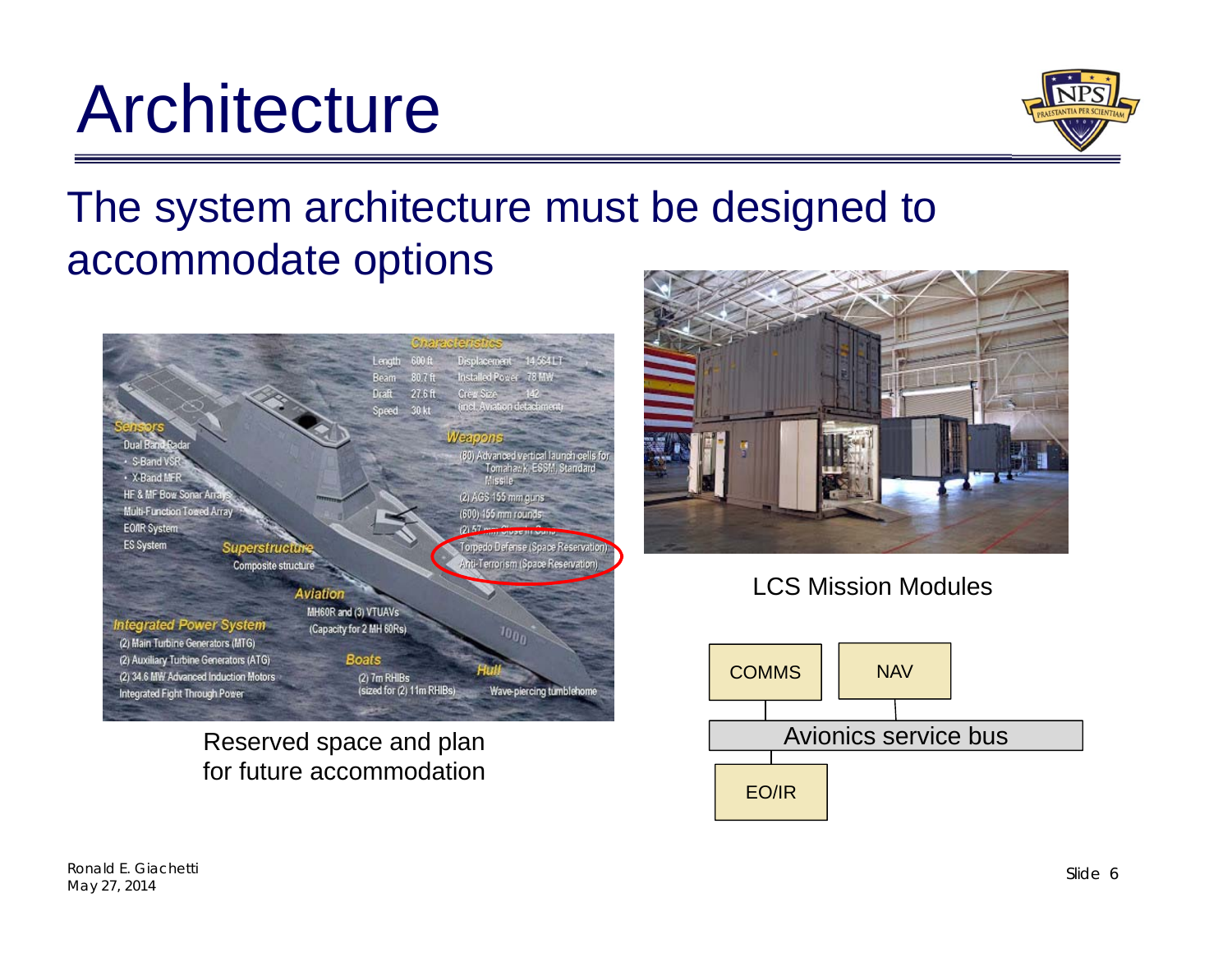#### **Architecture**

The system architecture must be designed to accommodate options



Reserved space and plan for future accommodation







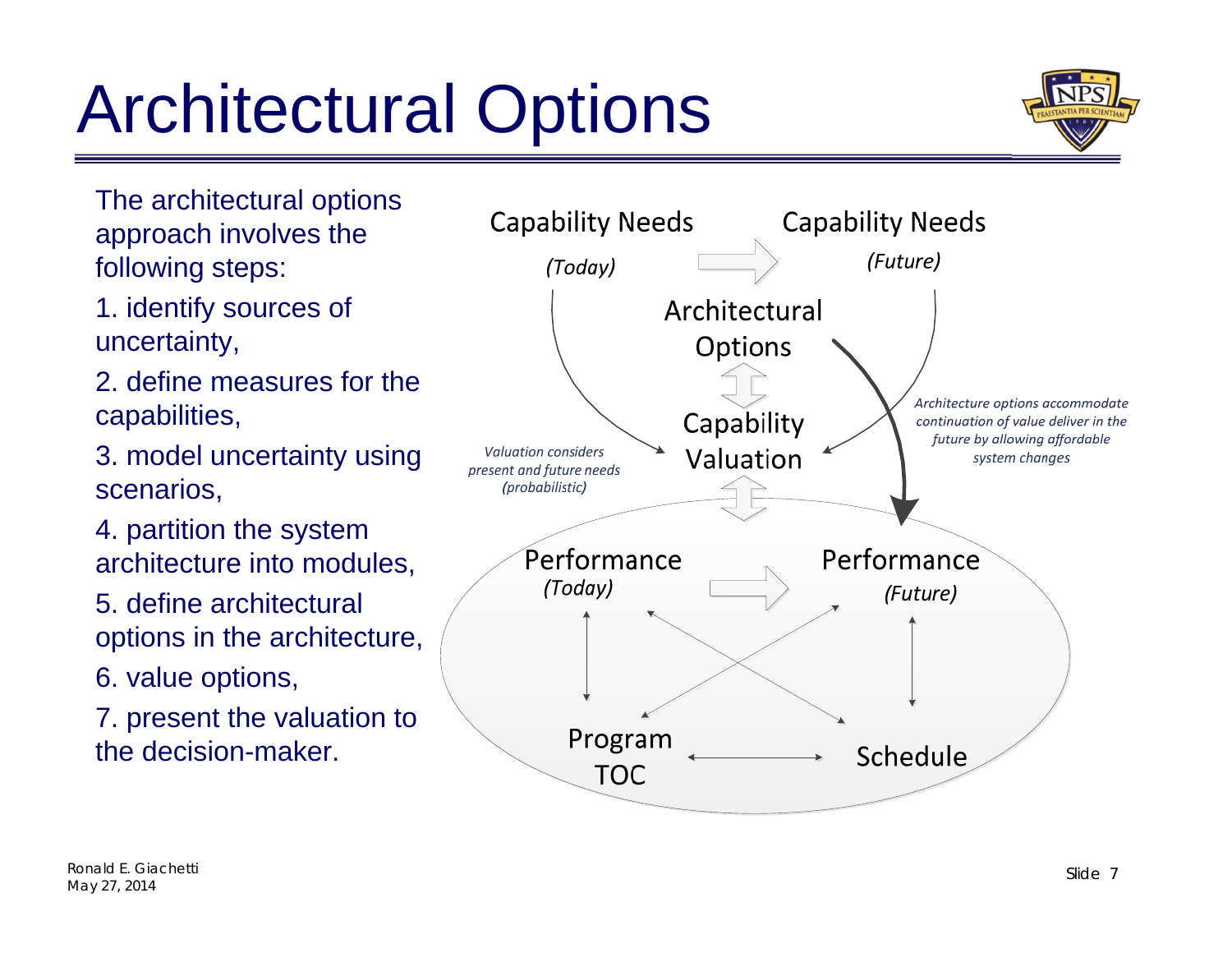# Architectural Options



The architectural options approach involves the following steps:

1. identify sources of uncertainty,

2. define measures for the capabilities,

3. model uncertainty using scenarios,

4. partition the system architecture into modules,

5. define architectural options in the architecture,

6. value options,

7. present the valuation to the decision-maker.

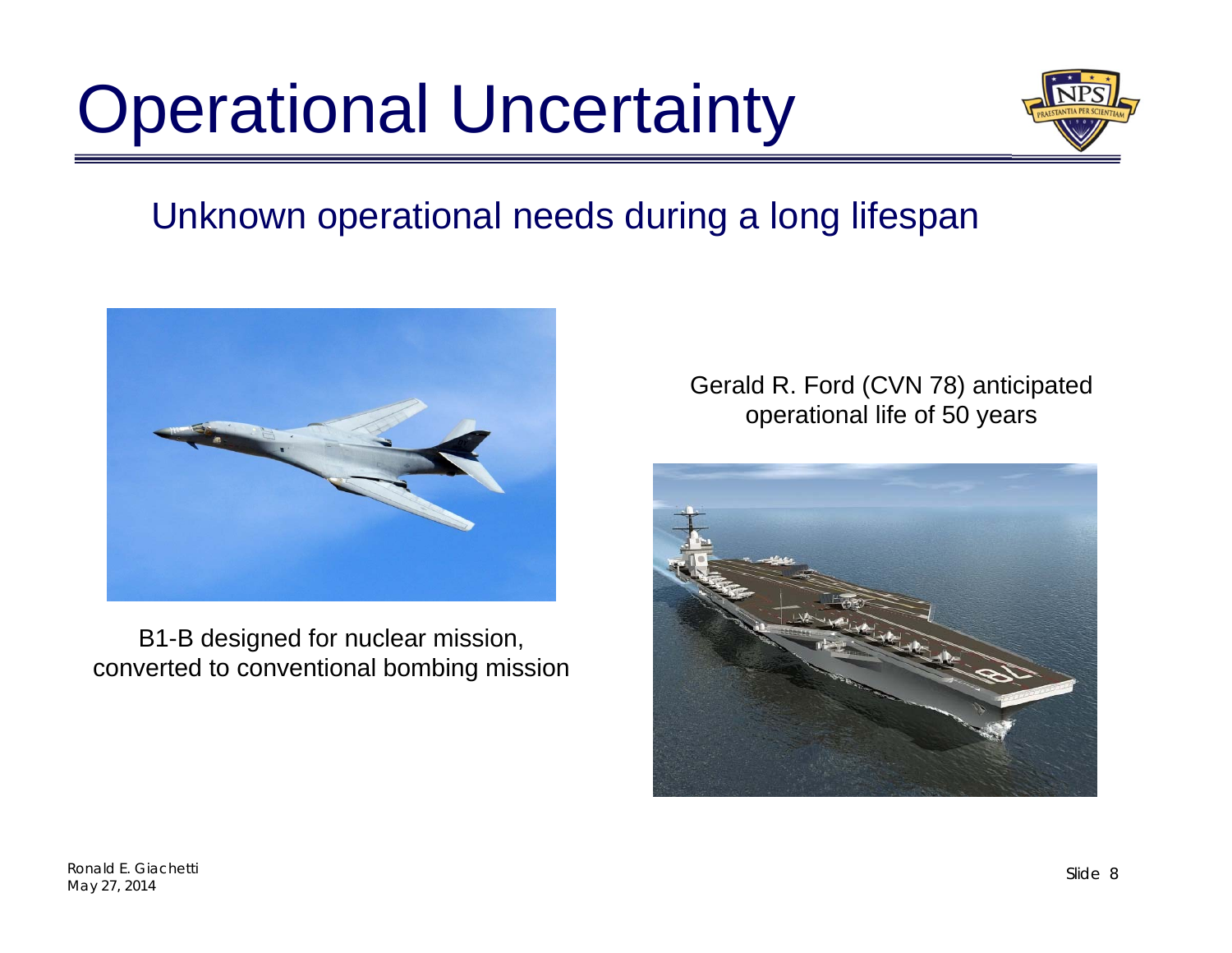## Operational Uncertainty



#### Unknown operational needs during a long lifespan



B1-B designed for nuclear mission, converted to conventional bombing mission Gerald R. Ford (CVN 78) anticipated operational life of 50 years

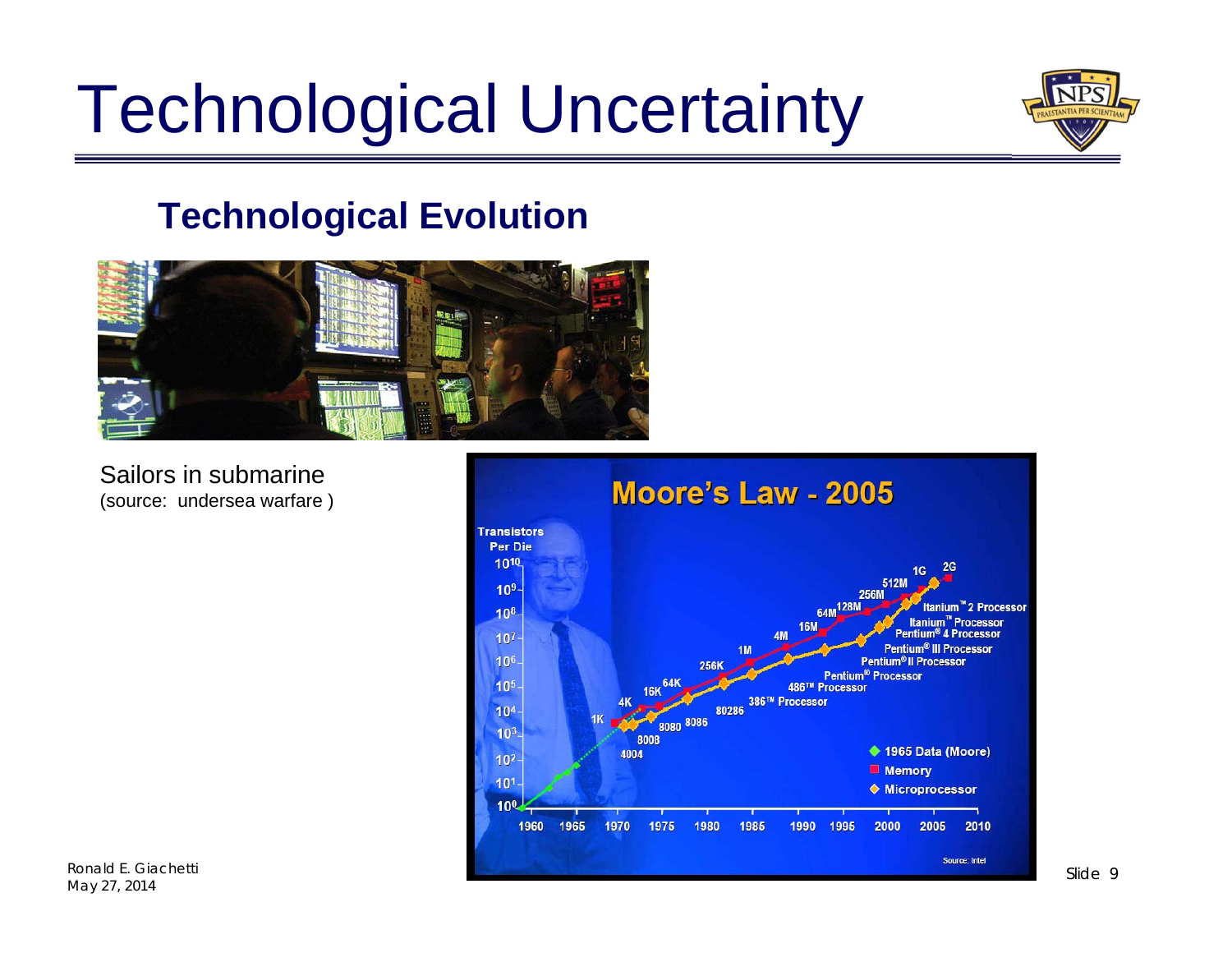### Technological Uncertainty



#### **Technological Evolution**



Sailors in submarine (source: undersea warfare )



Ronald E. Giachetti May 27, 2014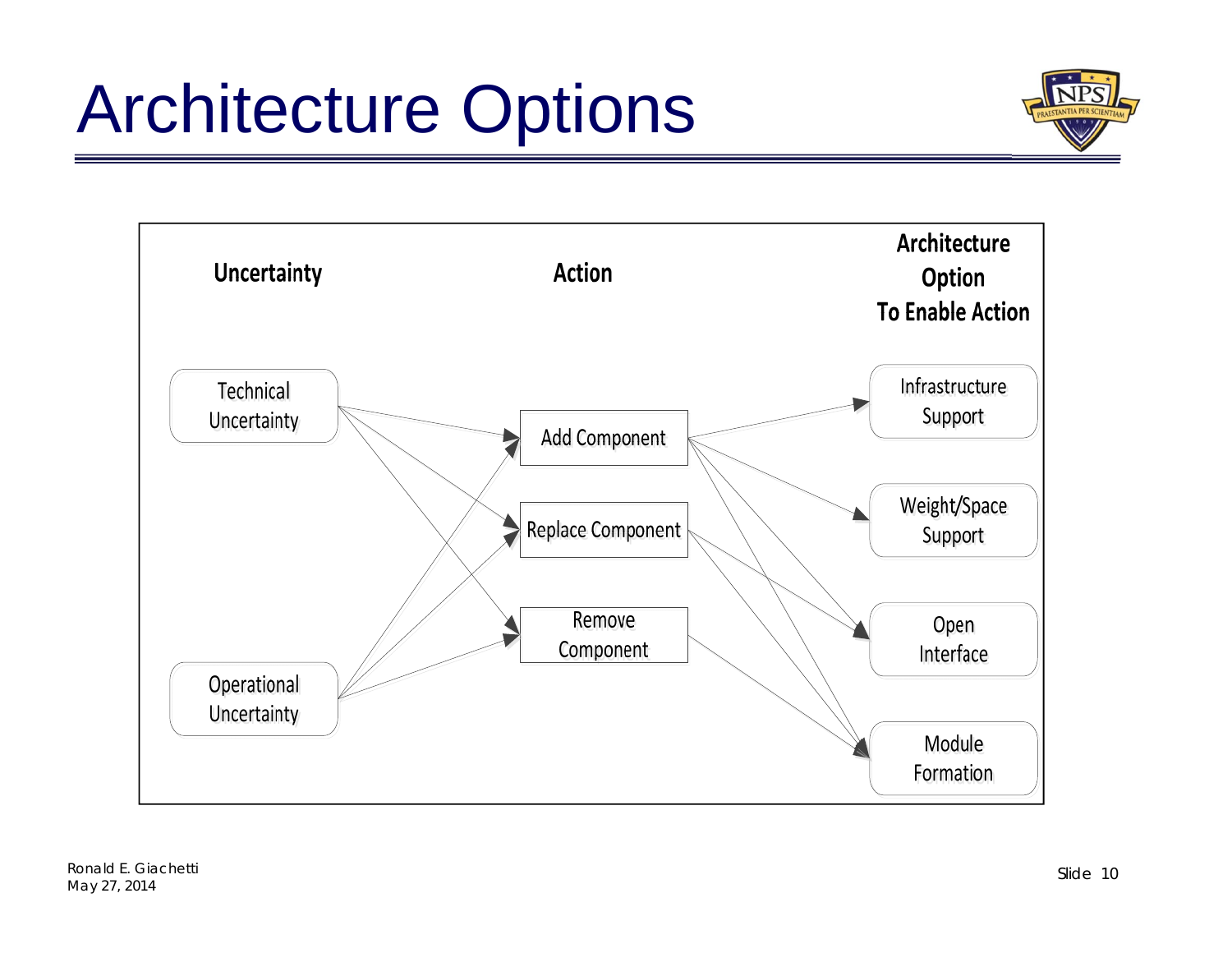## Architecture Options





Ronald E. Giachetti May 27, 2014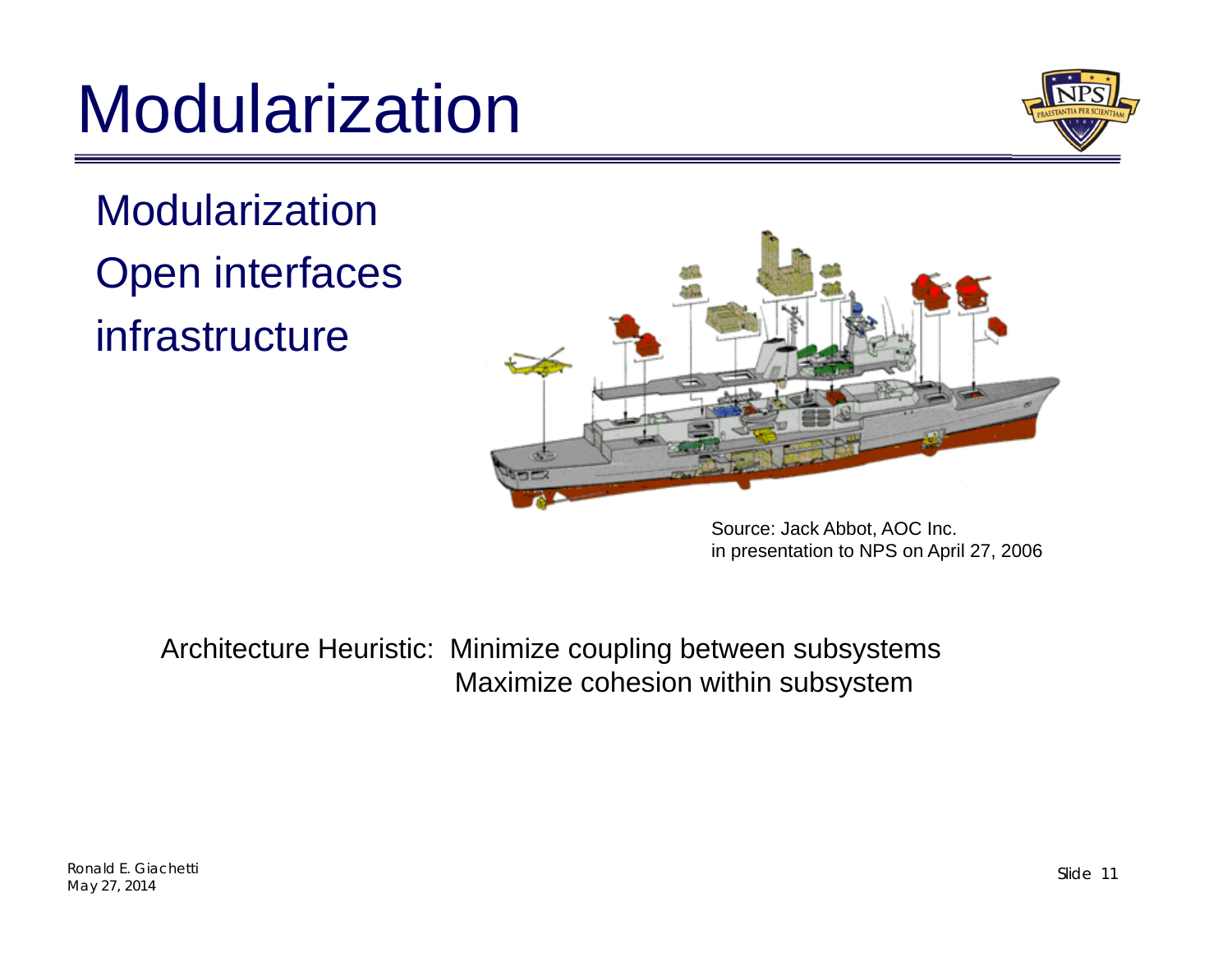### Modularization



**Modularization** Open interfaces infrastructure



Source: Jack Abbot, AOC Inc. in presentation to NPS on April 27, 2006

Architecture Heuristic: Minimize coupling between subsystems Maximize cohesion within subsystem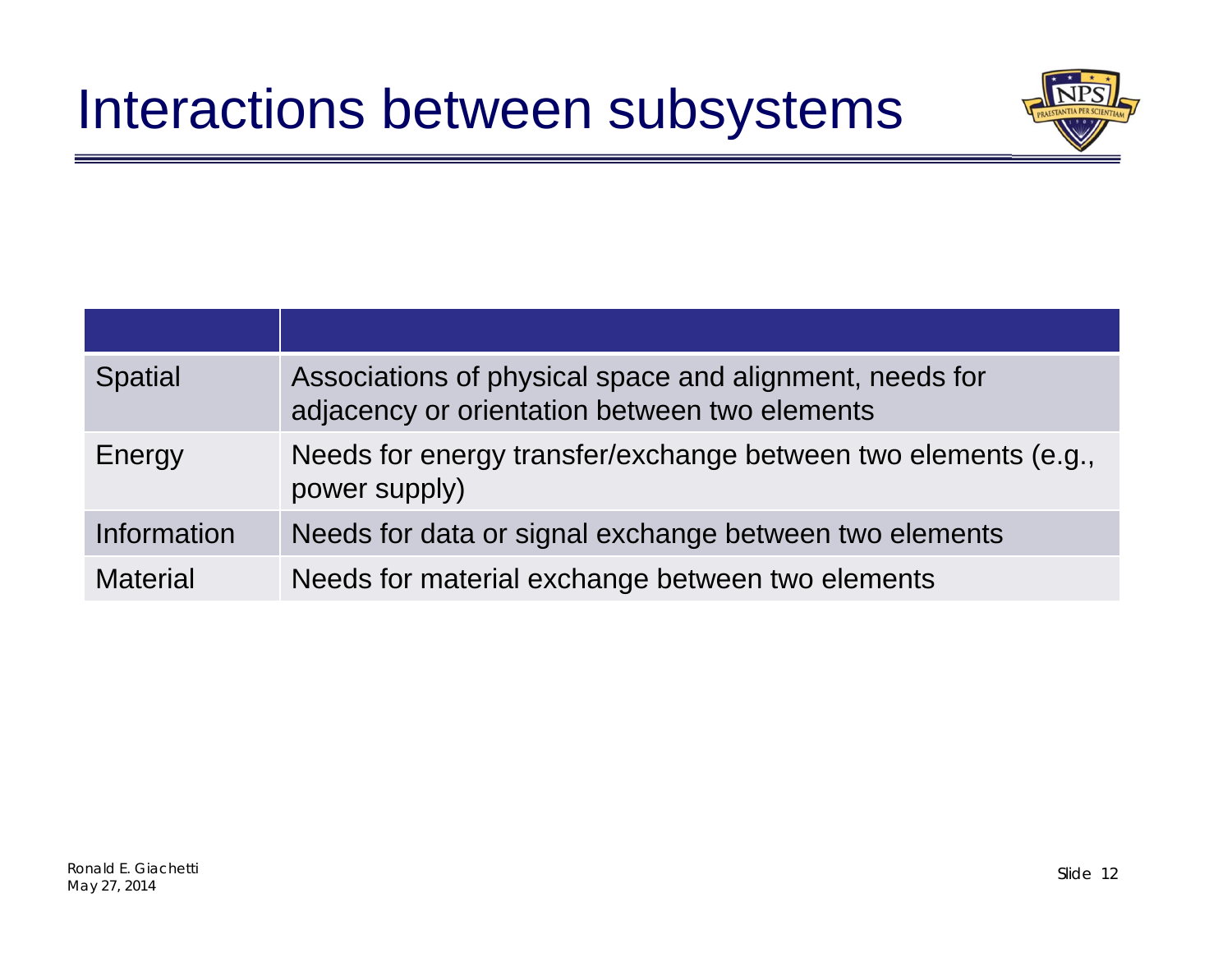

| <b>Spatial</b>  | Associations of physical space and alignment, needs for<br>adjacency or orientation between two elements |
|-----------------|----------------------------------------------------------------------------------------------------------|
| Energy          | Needs for energy transfer/exchange between two elements (e.g.,<br>power supply)                          |
| Information     | Needs for data or signal exchange between two elements                                                   |
| <b>Material</b> | Needs for material exchange between two elements                                                         |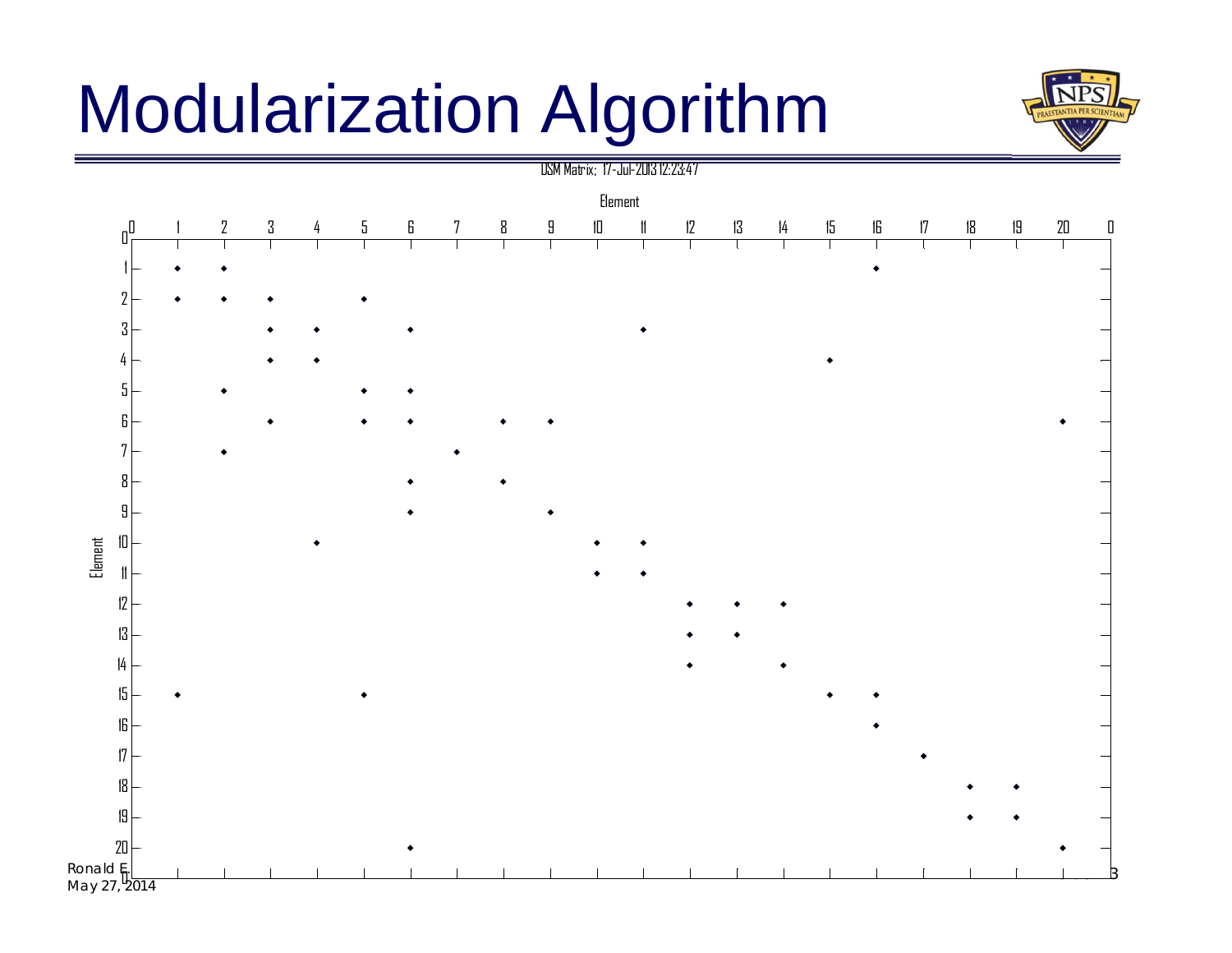#### Modularization Algorithm



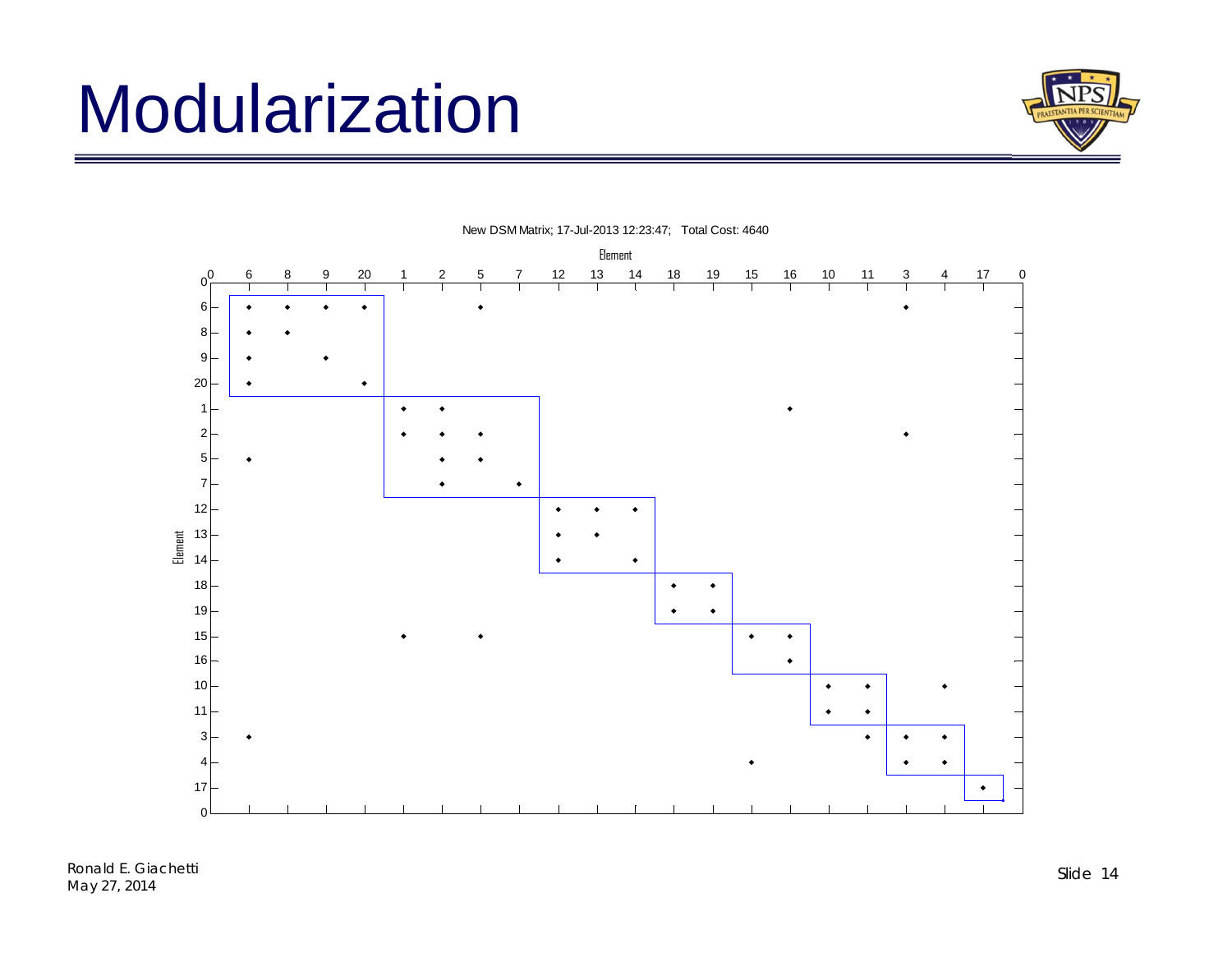### Modularization





New DSM Matrix; 17-Jul-2013 12:23:47; Total Cost: 4640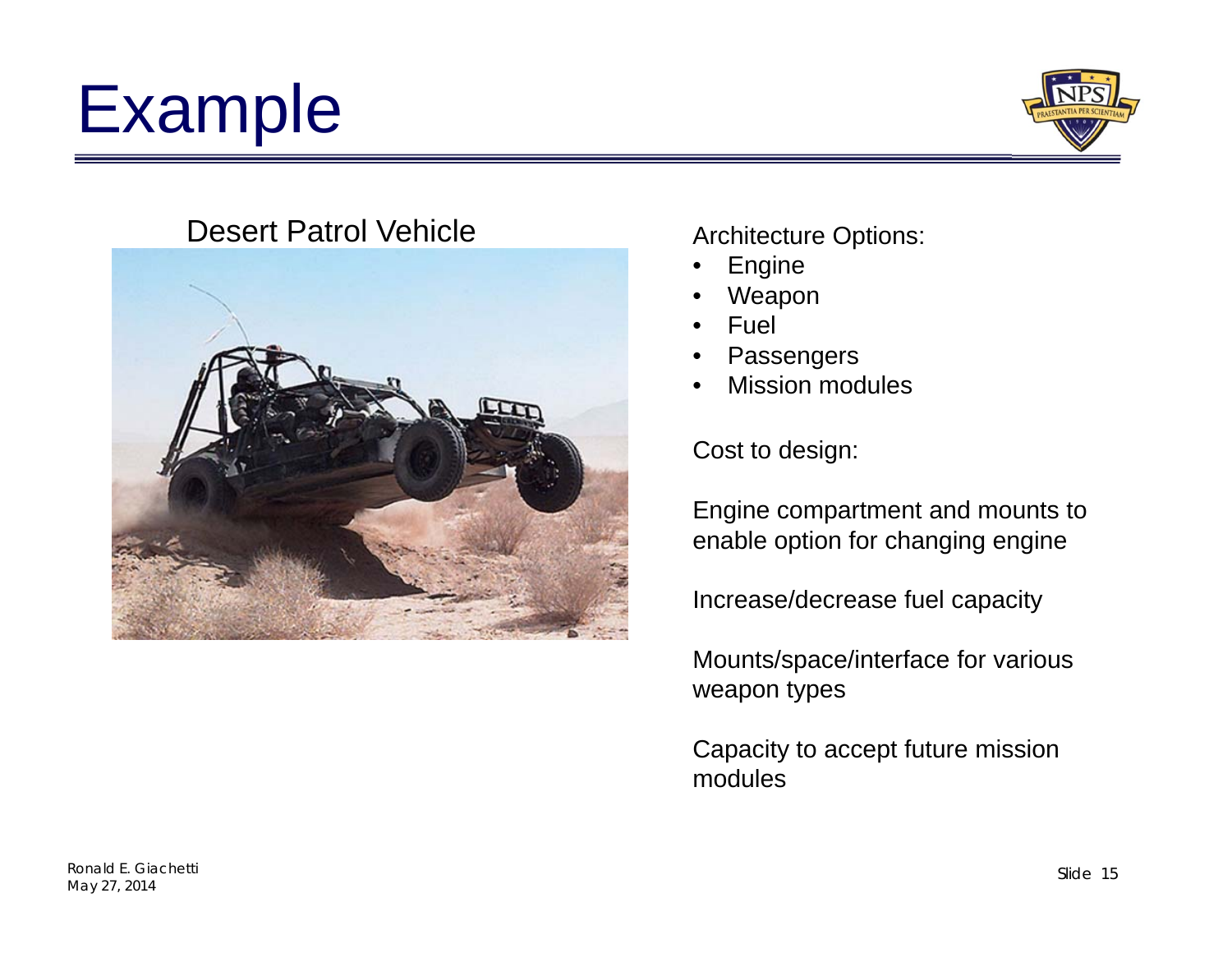# Example



#### Desert Patrol Vehicle



#### Architecture Options:

- •Engine
- •Weapon
- •Fuel
- •Passengers
- •Mission modules

Cost to design:

Engine compartment and mounts to enable option for changing engine

Increase/decrease fuel capacity

Mounts/space/interface for various weapon types

Capacity to accept future mission modules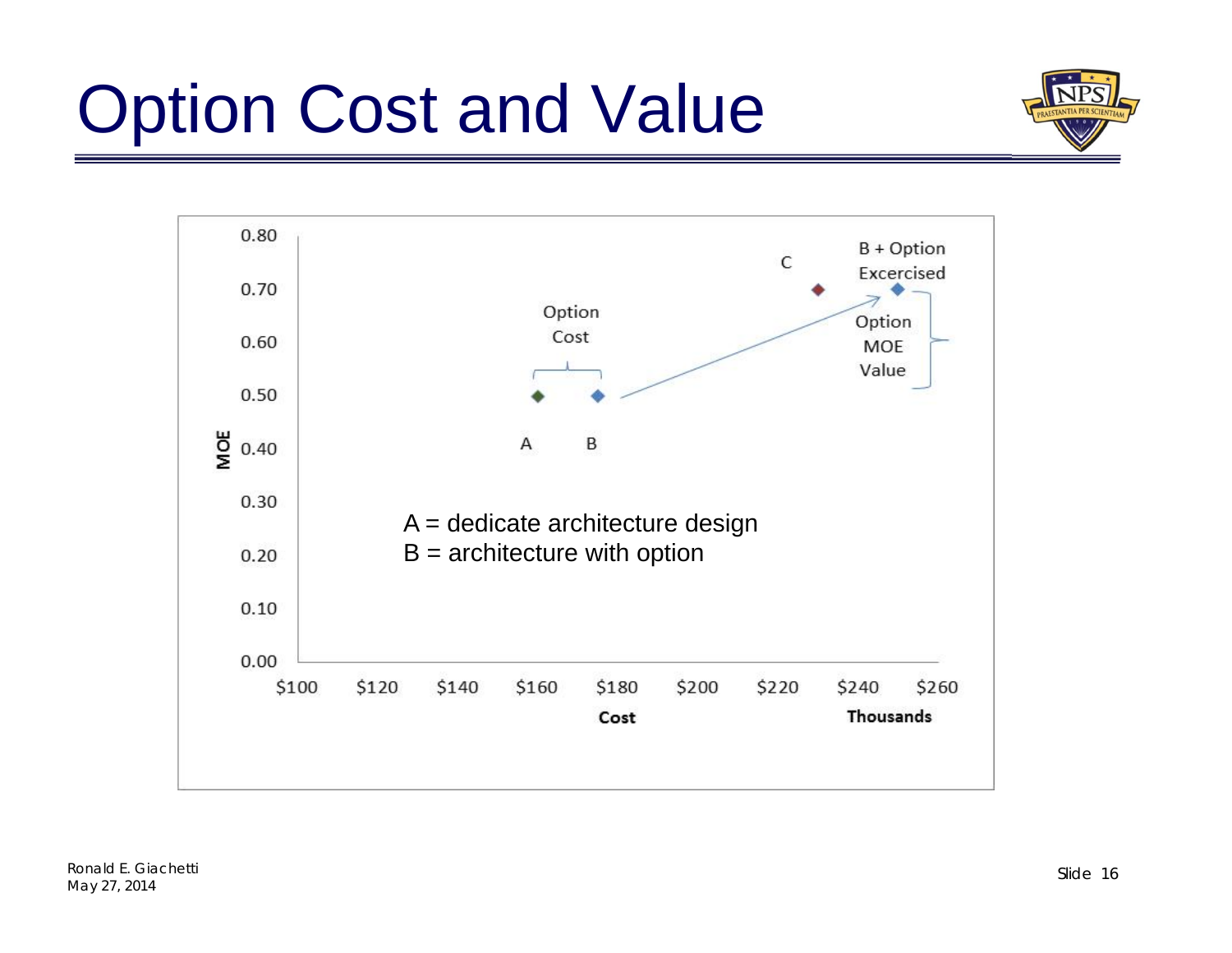# Option Cost and Value